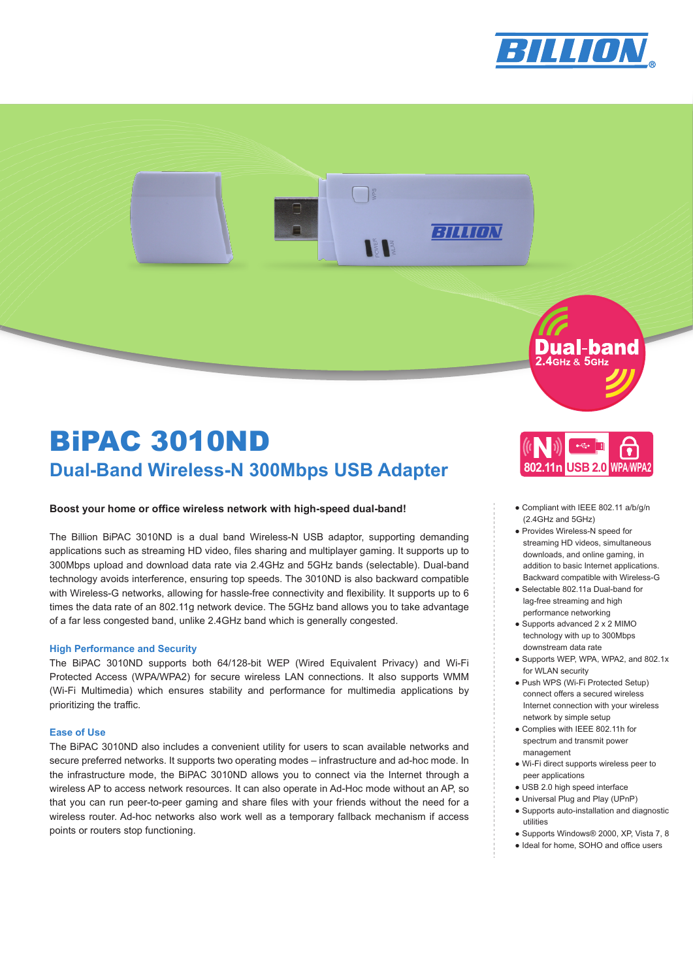

BILLION

# BiPAC 3010ND **Dual-Band Wireless-N 300Mbps USB Adapter 802.11n** USB 2.0 **WPA/WPA**

## **Boost your home or office wireless network with high-speed dual-band!**

The Billion BiPAC 3010ND is a dual band Wireless-N USB adaptor, supporting demanding applications such as streaming HD video, files sharing and multiplayer gaming. It supports up to 300Mbps upload and download data rate via 2.4GHz and 5GHz bands (selectable). Dual-band technology avoids interference, ensuring top speeds. The 3010ND is also backward compatible with Wireless-G networks, allowing for hassle-free connectivity and flexibility. It supports up to 6 times the data rate of an 802.11g network device. The 5GHz band allows you to take advantage of a far less congested band, unlike 2.4GHz band which is generally congested.

## **High Performance and Security**

The BiPAC 3010ND supports both 64/128-bit WEP (Wired Equivalent Privacy) and Wi-Fi Protected Access (WPA/WPA2) for secure wireless LAN connections. It also supports WMM (Wi-Fi Multimedia) which ensures stability and performance for multimedia applications by prioritizing the traffic.

## **Ease of Use**

The BiPAC 3010ND also includes a convenient utility for users to scan available networks and secure preferred networks. It supports two operating modes – infrastructure and ad-hoc mode. In the infrastructure mode, the BiPAC 3010ND allows you to connect via the Internet through a wireless AP to access network resources. It can also operate in Ad-Hoc mode without an AP, so that you can run peer-to-peer gaming and share files with your friends without the need for a wireless router. Ad-hoc networks also work well as a temporary fallback mechanism if access points or routers stop functioning.



Dual-band 2.4GHz & 5GHz

- Compliant with IEEE 802.11 a/b/g/n (2.4GHz and 5GHz)
- Provides Wireless-N speed for streaming HD videos, simultaneous downloads, and online gaming, in addition to basic Internet applications. Backward compatible with Wireless-G
- Selectable 802.11a Dual-band for lag-free streaming and high performance networking
- Supports advanced 2 x 2 MIMO technology with up to 300Mbps downstream data rate
- Supports WEP, WPA, WPA2, and 802.1x for WLAN security
- Push WPS (Wi-Fi Protected Setup) connect offers a secured wireless Internet connection with your wireless network by simple setup
- Complies with IEEE 802.11h for spectrum and transmit power management
- Wi-Fi direct supports wireless peer to peer applications
- USB 2.0 high speed interface
- Universal Plug and Play (UPnP)
- Supports auto-installation and diagnostic utilities
- Supports Windows® 2000, XP, Vista 7, 8
- Ideal for home, SOHO and office users